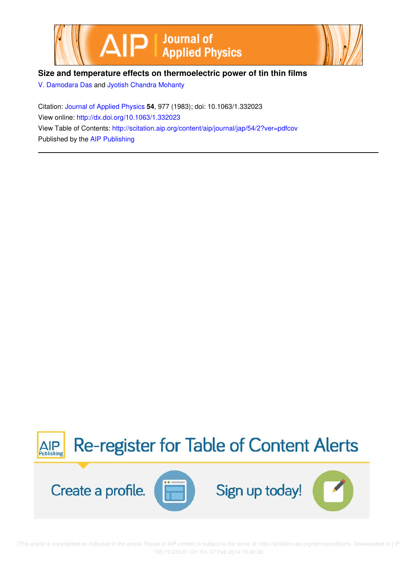



# **Size and temperature effects on thermoelectric power of tin thin films**

V. Damodara Das and Jyotish Chandra Mohanty

Citation: Journal of Applied Physics **54**, 977 (1983); doi: 10.1063/1.332023 View online: http://dx.doi.org/10.1063/1.332023 View Table of Contents: http://scitation.aip.org/content/aip/journal/jap/54/2?ver=pdfcov Published by the AIP Publishing



[This article is copyrighted as indicated in the article. Reuse of AIP content is subject to the terms at: http://scitation.aip.org/termsconditions. Downloaded to ] IP: 195.19.233.81 On: Fri, 07 Feb 2014 10:49:36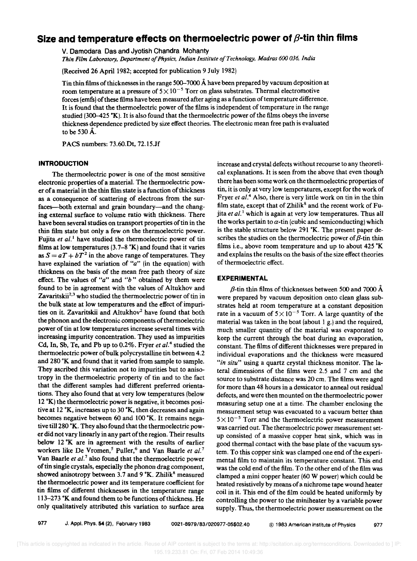# Size and temperature effects on thermoelectric power of  $\beta$ -tin thin films

v. Damodara Das and Jyotish Chandra Mohanty

*Thin Film Laboratory, Department 0/ Physics, Indian Institute a/Technology, Madras* 600 *036, India* 

(Received 26 April 1982; accepted for publication 9 July 1982)

Tin thin films of thicknesses in the range 500-7000 A have been prepared by vacuum deposition at room temperature at a pressure of  $5 \times 10^{-5}$  Torr on glass substrates. Thermal electromotive forces (emfs) of these films have been measured after aging as a function of temperature difference. It is found that the thermoelectric power of the films is independent of temperature in the range studied (300–425 °K). It is also found that the thermoelectric power of the films obeys the inverse thickness dependence predicted by size effect theories. The electronic mean free path is evaluated to be 530A.

PACS numbers: 73.60.Dt, 72.15.Jf

#### **INTRODUCTION**

The thermoelectric power is one of the most sensitive electronic properties of a material. The thermoelectric power of a material in the thin film state is a function of thickness as a consequence of scattering of electrons from the surfaces-both external and grain boundary-and the changing external surface to volume ratio with thickness. There have been several studies on transport properties of tin in the thin film state but only a few on the thermoelectric power. Fujita *et al.*<sup>1</sup> have studied the thermoelectric power of tin films at low temperatures (3.7-8  $K$ ) and found that it varies as  $S = aT + bT^2$  in the above range of temperatures. They have explained the variation of *"a"* (in the equation) with thickness on the basis of the mean free path theory of size effect. The values of *"a"* and *"b"* obtained by them were found to be in agreement with the values of AItukhov and Zavaritskii<sup>2,3</sup> who studied the thermoelectric power of tin in the bulk state at low temperatures and the effect of impurities on it. Zavaritskii and Altukhov<sup>2</sup> have found that both the phonon and the electronic components of thermoelectric power of tin at low temperatures increase several times with increasing impurity concentration. They used as impurities Cd, In, Sb, Te, and Pb up to 0.2%. Fryer *et al.<sup>4</sup>*studied the thermoelectric power of bulk polycrystalline tin between 4.2 and 280 °K and found that it varied from sample to sample. They ascribed this variation not to impurities but to anisotropy in the thermoelectric property of tin and to the fact that the different samples had different preferred orientations. They also found that at very low temperatures (below  $12 \text{ }^{\circ}$ K) the thermoelectric power is negative, it becomes positive at 12  $K$ , increases up to 30  $K$ , then decreases and again becomes negative between 60 and 100 $\mathrm{K}$ . It remains negative till 280 °K. They also found that the thermoelectric power did not vary linearly in any part of the region. Their results below 12  $K$  are in agreement with the results of earlier workers like De Vromen,<sup>5</sup> Puller,<sup>6</sup> and Van Baarle *et al.*<sup>7</sup> Van Baarle *et al.*<sup>7</sup> also found that the thermoelectric power of tin single crystals, especially the phonon drag component, showed anisotropy between 3.7 and  $9 \text{ }^{\circ} \text{K}$ . Zhilik<sup>8</sup> measured the thermoelectric power and its temperature coefficient for tin films of different thicknesses in the temperature range 113-273 K and found them to be functions of thickness. He only qualitatively attributed this variation to surface area

increase and crystal defects without recourse to any theoretical explanations. It is seen from the above that even though there has been some work on the thermoelectric properties of tin, it is only at very low temperatures, except for the work of Fryer *et al.<sup>4</sup>*Also, there is very little work on tin in the thin film state, except that of  $Zhilik^8$  and the recent work of Fujita *et al.* 1 which is again at very low temperatures. Thus all the works pertain to  $\alpha$ -tin (cubic and semiconducting) which is the stable structure below 291  $K$ . The present paper describes the studies on the thermoelectric power of  $\beta$ -tin thin films i.e., above room temperature and up to about  $425 \text{ }^{\circ}\text{K}$ and explains the results on the basis of the size effect theories of thermoelectric effect.

### **EXPERIMENTAL**

 $\beta$ -tin thin films of thicknesses between 500 and 7000 Å were prepared by vacuum deposition onto clean glass substrates held at room temperature at a constant deposition rate in a vacuum of  $5 \times 10^{-5}$  Torr. A large quantity of the material was taken in the boat (about I g.) and the required, much smaller quantity of the material was evaporated to keep the current through the boat during an evaporation, constant. The films of different thicknesses were prepared in individual evaporations and the thickness were measured *"in situ"* using a quartz crystal thickness monitor. The lateral dimensions of the films were 2.5 and 7 cm and the source to substrate distance was 20 cm. The films were aged for more than 48 hours in a dessicator to anneal out residual defects, and were then mounted on the thermoelectric power measuring setup one at a time. The chamber enclosing the measurement setup was evacuated to a vacuum better than  $5 \times 10^{-5}$  Torr and the thermoelectric power measurement was carried out. The thermoelectric power measurement setup consisted of a massive copper heat sink, which was in good thermal contact with the base plate of the vacuum system. To this copper sink was clamped one end of the experimental film to maintain its temperature constant. This end was the cold end of the film. To the other end of the film was clamped a mini copper heater (60 W power) which could be heated resistively by means of a nichrome tape wound heater coil in it. This end of the film could be heated uniformly by controlling the power to the miniheater by a variable power supply. Thus, the thermoelectric power measurement on the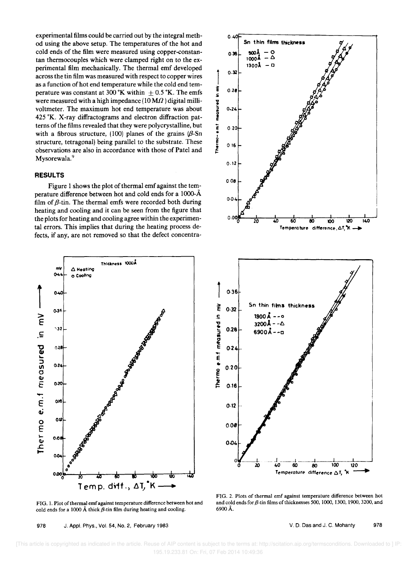experimental films could be carried out by the integral method using the above setup. The temperatures of the hot and cold ends of the film were measured using copper-constantan thermocouples which were clamped right on to the experimental film mechanically. The thermal emf developed across the tin film was measured with respect to copper wires as a function of hot end temperature while the cold end temperature was constant at 300 °K within  $\pm$  0.5 °K. The emfs were measured with a high impedance  $(10 M\Omega)$  digital millivoltmeter. The maximum hot end temperature was about 425 °K. X-ray diffractograms and electron diffraction patterns of the films revealed that they were polycrystalline, but with a fibrous structure, (100) planes of the grains  $(\beta$ -Sn structure, tetragonal) being parallel to the substrate. These observations are also in accordance with those of Patel and Mysorewala.<sup>9</sup>

### **RESULTS**

Figure 1 shows the plot of thermal emf against the temperature difference between hot and cold ends for a 1000-Å film of  $\beta$ -tin. The thermal emfs were recorded both during heating and cooling and it can be seen from the figure that the plots for heating and cooling agree within the experimental errors. This implies that during the heating process defects, if any, are not removed so that the defect concentra-



FIG. 1. Plot of thermal emf against temperature difference between hot and cold ends for a 1000 Å thick  $\beta$ -tin film during heating and cooling.

978 J. Appl. Phys., Vol. 54, No. 2, February 1983



FIG. 2. Plots of thermal emf against temperature difference between hot and cold ends for  $\beta$ -tin films of thicknesses 500, 1000, 1300, 1900, 3200, and 6900 Å.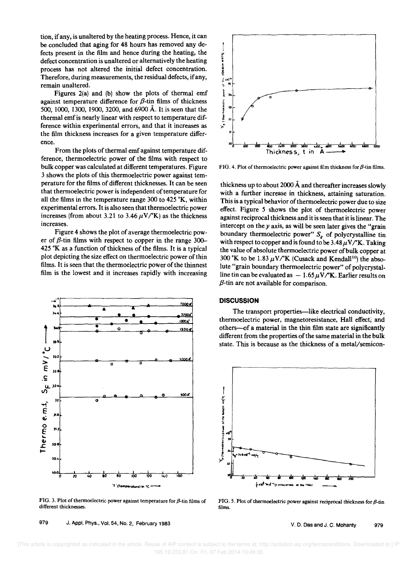tion, if any, is unaltered by the heating process. Hence, it can be concluded that aging for 48 hours has removed any defects present in the film and hence during the heating, the defect concentration is unaltered or alternatively the heating process has not altered the initial defect concentration. Therefore, during measurements, the residual defects, if any, remain unaltered.

Figures 2(a) and (b) show the plots of thermal emf against temperature difference for  $\beta$ -tin films of thickness 500, 1000, 1300, 1900, 3200, and 6900 Å. It is seen that the thermal emf is nearly linear with respect to temperature difference within experimental errors, and that it increases as the film thickness increases for a given temperature difference.

From the plots of thermal emf against temperature difference, thermoelectric power of the films with respect to bulk copper was calculated at different temperatures. Figure 3 shows the plots of this thermoelectric power against temperature for the films of different thicknesses. It can be seen that thermoelectric power is independent of temperature for all the films in the temperature range 300 to 425 °K, within experimental errors. It is also seen that thermoelectric power increases (from about 3.21 to 3.46  $\mu$ V/<sup>o</sup>K) as the thickness increases.

Figure 4 shows the plot of average thermoelectric power of  $\beta$ -tin films with respect to copper in the range 300-425 K as a function of thickness of the films. It is a typical plot depicting the size effect on thermoelectric power of thin films. It is seen that the thermoelectric power of the thinnest film is the lowest and it increases rapidly with increasing



FIG. 3. Plot of thermoelectric power against temperature for  $\beta$ -tin films of different thicknesses.

979 J. Appl. Phys., Vol. 54, No. 2, February 1983



FIG. 4. Plot of thermoelectric power against film thickness for  $\beta$ -tin films.

thickness up to about 2000 Å and thereafter increases slowly with a further increase in thickness, attaining saturation. This is a typical behavior of thermoelectric power due to size effect. Figure 5 shows the plot of thermoelectric power against reciprocal thickness and it is seen that it is linear. The intercept on the  $\nu$  axis, as will be seen later gives the "grain" boundary thermoelectric power"  $S_g$  of polycrystalline tin with respect to copper and is found to be  $3.48 \mu V$ /°K. Taking the value of absolute thermoelectric power of bulk copper at 300 °K to be 1.83  $\mu$ V/°K (Cusack and Kendall<sup>10</sup>) the absolute "grain boundary thermoelectric power" of polycrystalline tin can be evaluated as  $-1.65 \mu V/K$ . Earlier results on  $\beta$ -tin are not available for comparison.

### **DISCUSSION**

The transport properties—like electrical conductivity, thermoelectric power, magnetoresistance, Hall effect, and others—of a material in the thin film state are significantly different from the properties of the same material in the bulk state. This is because as the thickness of a metal/semicon-



FIG. 5. Plot of thermoelectric power against reciprocal thickness for  $\beta$ -tin films.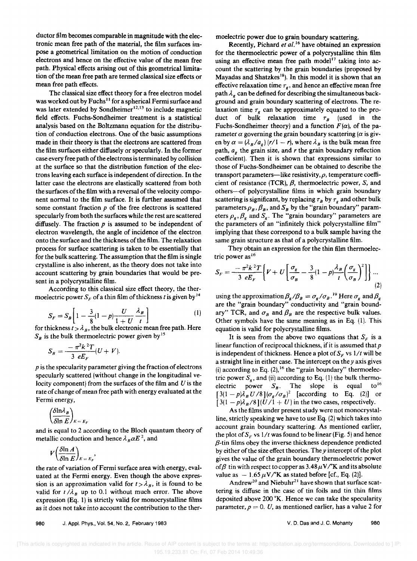ductor film becomes comparable in magnitude with the electronic mean free path of the material, the film surfaces impose a geometrical limitation on the motion of conduction electrons and hence on the effective value of the mean free path. Physical effects arising out of this geometrical limitation of the mean free path are termed classical size effects or mean free path effects.

The classical size effect theory for a free electron model was worked out by Fuchs<sup>11</sup> for a spherical Fermi surface and was later extended by Sondheimer<sup>12,13</sup> to include magnetic field effects. Fuchs-Sondheimer treatment is a statistical analysis based on the Boltzmann equation for the distribution of conduction electrons. One of the basic assumptions made in their theory is that the electrons are scattered from the film surfaces either diffusely or specularly. In the former case every free path of the electrons is terminated by collision at the surface so that the distribution function of the electrons leaving each surface is independent of direction. In the latter case the electrons are elastically scattered from both the surfaces of the film with a reversal of the velocity component normal to the film surface. It is further assumed that some constant fraction *p* of the free electrons is scattered specularly from both the surfaces while the rest are scattered diffusely. The fraction *p* is assumed to be independent of electron wavelength, the angle of incidence of the electron onto the surface and the thickness of the film. The relaxation process for surface scattering is taken to be essentially that for the bulk scattering. The assumption that the film is single crystalline is also inherent, as the theory does not take into account scattering by grain boundaries that would be present in a polycrystalline film.

According to this classical size effect theory, the thermoelectric power  $S_F$  of a thin film of thickness *t* is given by  $^{14}$ 

$$
S_F = S_B \left[ 1 - \frac{3}{8} (1 - p) \frac{U}{1 + U} \frac{\lambda_B}{t} \right] \tag{1}
$$

for thickness  $t > \lambda_B$ , the bulk electronic mean free path. Here  $S_B$  is the bulk thermoelectric power given by<sup>15</sup>

$$
S_B = \frac{-\pi^2 k^2 T}{3 eE_F} (U + V).
$$

*p* is the specularity parameter giving the fraction of electrons specularly scattered (without change in the longitudinal velocity component) from the surfaces of the film and *U* is the rate of change of mean free path with energy evaluated at the Fermi energy,

$$
\left(\frac{\delta \ln \lambda_B}{\delta \ln E}\right)_{E=E_F}
$$

and is equal to 2 according to the Bloch quantum theory of metallic conduction and hence  $\lambda_B \alpha E^2$ , and

$$
V\left(\frac{\delta \ln A}{\delta \ln E}\right)_{E=E_F},
$$

the rate of variation of Fermi surface area with energy, evaluated at the Fermi energy. Even though the above expression is an approximation valid for  $t > \lambda_B$ , it is found to be valid for  $t/\lambda_B$  up to 0.1 without much error. The above expression (Eq. 1) is strictly valid for monocrystalline films as it does not take into account the contribution to the thermoelectric power due to grain boundary scattering.

Recently, Pichard *et al. <sup>16</sup>*have obtained an expression for the thermoelectric power of a polycrystalline thin film using an effective mean free path model<sup>17</sup> taking into account the scattering by the grain boundaries (proposed by Mayadas and Shatzkes<sup>18</sup>). In this model it is shown that an effective relaxation time  $\tau_{\gamma}$ , and hence an effective mean free path  $\lambda_{\rho}$  can be defined for describing the simultaneous background and grain boundary scattering of electrons. The relaxation time  $\tau_g$  can be approximately equated to the product of bulk relaxation time  $\tau_B$  (used in the Fuchs-Sondheimer theory) and a function  $F(\alpha)$ , of the parameter  $\alpha$  governing the grain boundary scattering  $(\alpha)$  is given by  $\alpha = (\lambda_B/a_g) (r/1 - r)$ , where  $\lambda_B$  is the bulk mean free path,  $a_g$  the grain size, and  $r$  the grain boundary reflection coefficient). Then it is shown that expressions similar to those of Fuchs-Sondheimer can be obtained to describe the transport parameters—like resistivity,  $\rho$ , temperature coefficient of resistance (TCR),  $\beta$ , thermoelectric power, S, and others-of polycrystalline films in which grain boundary scattering is significant, by replacing  $\tau_B$  by  $\tau_g$  and other bulk parameters  $\rho_B$ ,  $\beta_B$ , and  $S_B$  by the "grain boundary" parameters  $\rho_g$ ,  $\beta_g$  and  $S_g$ . The "grain boundary" parameters are the parameters of an "infinitely thick polycrystalline film" implying that these correspond to a bulk sample having the same grain structure as that of a polycrystalline film.

They obtain an expression for the thin film thermoelectric power  $as^{16}$ 

$$
S_F = \frac{-\pi^2 k^2 T}{3 e E_F} \bigg\{ V + U \bigg[ \frac{\sigma_g}{\sigma_B} - \frac{3}{8} (1 - p) \frac{\lambda_B}{t} \bigg( \frac{\sigma_g}{\sigma_B} \bigg)^2 \bigg] \bigg\} \dots \tag{2}
$$

using the approximation  $\beta_g / \beta_B = \sigma_g / \sigma_B$ .<sup>19</sup> Here  $\sigma_g$  and  $\beta_g$ are the "grain boundary" conductivity and "grain boundary" TCR, and  $\sigma_B$  and  $\beta_B$  are the respective bulk values. Other symbols have the same meaning as in Eq. (1). This equation is valid for polycrystalline films.

It is seen from the above two equations that  $S_F$  is a linear function of reciprocal thickness, if it is assumed that *p*  is independent of thickness. Hence a plot of  $S_F$  vs  $1/t$  will be a straight line in either case. The intercept on the *y* axis gives (i) according to Eq.  $(2)$ , <sup>16</sup> the "grain boundary" thermoelectric power  $S_g$ , and (ii) according to Eq. (1) the bulk thermo-<br>electric power  $S_g$ . The slope is equal to<sup>16</sup> electric power  $S_B$ . The slope is equal  $[3(1-p)\lambda_B U/8](\sigma_g/\sigma_B)^2$  [according to Eq. (2)] or  $[3(1 - p)\lambda_B/8](U/1 + U)$  in the two cases, respectively.

As the films under present study were not monocrystalline, strictly speaking we have to use Eq. (2) which takes into account grain boundary scattering. As mentioned earlier, the plot of  $S_F$  vs  $1/t$  was found to be linear (Fig. 5) and hence  $\beta$ -tin films obey the inverse thickness dependence predicted by either of the size effect theories. They intercept of the plot gives the value of the grain boundary thermoelectric power *of B* tin with respect to copper as  $3.48 \mu$ V/K and its absolute value as  $-1.65 \mu V/K$  as stated before [cf., Eq. (2)].

Andrew<sup>20</sup> and Niebuhr<sup>21</sup> have shown that surface scattering is diffuse in the case of tin foils and tin thin films deposited above  $200 \text{ }^{\circ}\text{K}$ . Hence we can take the specularity parameter,  $p = 0$ . *U*, as mentioned earlier, has a value 2 for